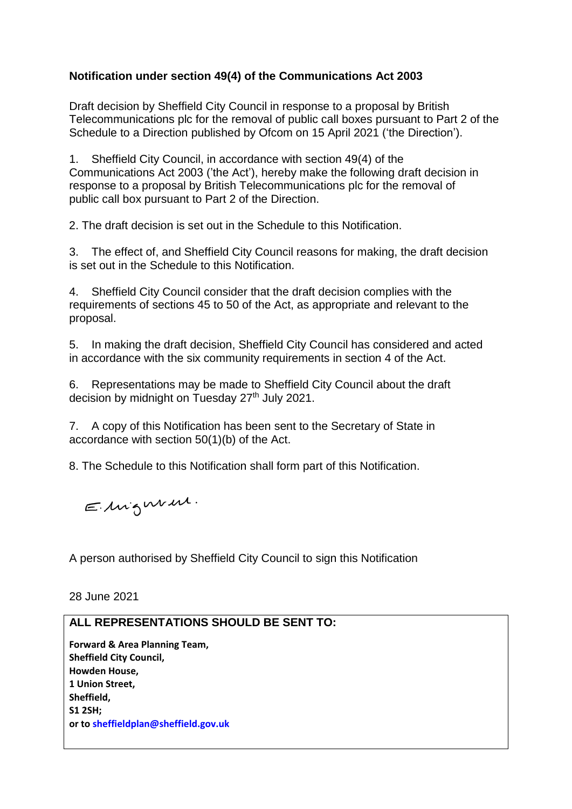## **Notification under section 49(4) of the Communications Act 2003**

Draft decision by Sheffield City Council in response to a proposal by British Telecommunications plc for the removal of public call boxes pursuant to Part 2 of the Schedule to a Direction published by Ofcom on 15 April 2021 ('the Direction').

1. Sheffield City Council, in accordance with section 49(4) of the Communications Act 2003 ('the Act'), hereby make the following draft decision in response to a proposal by British Telecommunications plc for the removal of public call box pursuant to Part 2 of the Direction.

2. The draft decision is set out in the Schedule to this Notification.

3. The effect of, and Sheffield City Council reasons for making, the draft decision is set out in the Schedule to this Notification.

4. Sheffield City Council consider that the draft decision complies with the requirements of sections 45 to 50 of the Act, as appropriate and relevant to the proposal.

5. In making the draft decision, Sheffield City Council has considered and acted in accordance with the six community requirements in section 4 of the Act.

6. Representations may be made to Sheffield City Council about the draft decision by midnight on Tuesday 27<sup>th</sup> July 2021.

7. A copy of this Notification has been sent to the Secretary of State in accordance with section 50(1)(b) of the Act.

8. The Schedule to this Notification shall form part of this Notification.

Elingeneur.

A person authorised by Sheffield City Council to sign this Notification

28 June 2021

## **ALL REPRESENTATIONS SHOULD BE SENT TO:**

**Forward & Area Planning Team, Sheffield City Council, Howden House, 1 Union Street, Sheffield, S1 2SH; or to sheffieldplan@sheffield.gov.uk**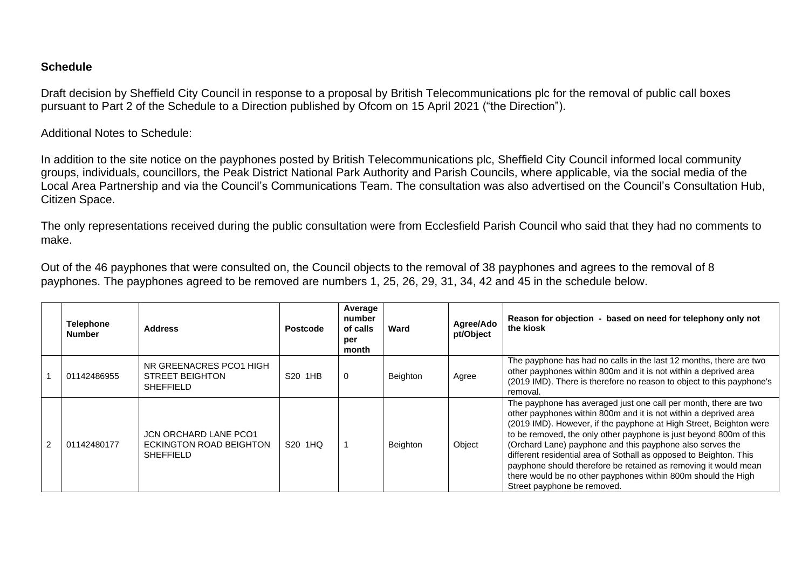## **Schedule**

Draft decision by Sheffield City Council in response to a proposal by British Telecommunications plc for the removal of public call boxes pursuant to Part 2 of the Schedule to a Direction published by Ofcom on 15 April 2021 ("the Direction").

Additional Notes to Schedule:

In addition to the site notice on the payphones posted by British Telecommunications plc, Sheffield City Council informed local community groups, individuals, councillors, the Peak District National Park Authority and Parish Councils, where applicable, via the social media of the Local Area Partnership and via the Council's Communications Team. The consultation was also advertised on the Council's Consultation Hub, Citizen Space.

The only representations received during the public consultation were from Ecclesfield Parish Council who said that they had no comments to make.

Out of the 46 payphones that were consulted on, the Council objects to the removal of 38 payphones and agrees to the removal of 8 payphones. The payphones agreed to be removed are numbers 1, 25, 26, 29, 31, 34, 42 and 45 in the schedule below.

|                | <b>Telephone</b><br><b>Number</b> | <b>Address</b>                                                              | <b>Postcode</b>     | Average<br>number<br>of calls<br>per<br>month | Ward     | Agree/Ado<br>pt/Object | Reason for objection - based on need for telephony only not<br>the kiosk                                                                                                                                                                                                                                                                                                                                                                                                                                                                                                               |
|----------------|-----------------------------------|-----------------------------------------------------------------------------|---------------------|-----------------------------------------------|----------|------------------------|----------------------------------------------------------------------------------------------------------------------------------------------------------------------------------------------------------------------------------------------------------------------------------------------------------------------------------------------------------------------------------------------------------------------------------------------------------------------------------------------------------------------------------------------------------------------------------------|
|                | 01142486955                       | NR GREENACRES PCO1 HIGH<br><b>STREET BEIGHTON</b><br><b>SHEFFIELD</b>       | S20 1HB             | $\Omega$                                      | Beighton | Agree                  | The payphone has had no calls in the last 12 months, there are two<br>other payphones within 800m and it is not within a deprived area<br>(2019 IMD). There is therefore no reason to object to this payphone's<br>removal.                                                                                                                                                                                                                                                                                                                                                            |
| $\overline{2}$ | 01142480177                       | <b>JCN ORCHARD LANE PCO1</b><br>ECKINGTON ROAD BEIGHTON<br><b>SHEFFIELD</b> | S <sub>20</sub> 1HQ |                                               | Beighton | Object                 | The payphone has averaged just one call per month, there are two<br>other payphones within 800m and it is not within a deprived area<br>(2019 IMD). However, if the payphone at High Street, Beighton were<br>to be removed, the only other payphone is just beyond 800m of this<br>(Orchard Lane) payphone and this payphone also serves the<br>different residential area of Sothall as opposed to Beighton. This<br>payphone should therefore be retained as removing it would mean<br>there would be no other payphones within 800m should the High<br>Street payphone be removed. |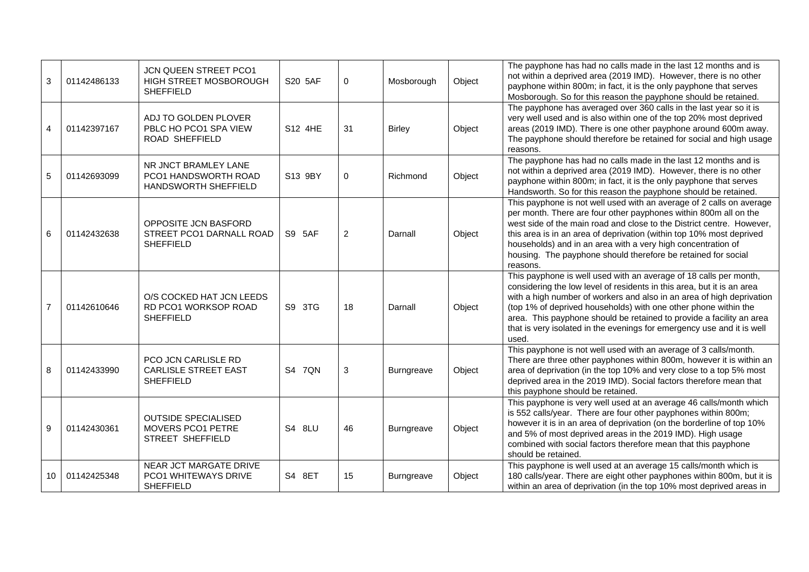| 3               | 01142486133 | JCN QUEEN STREET PCO1<br>HIGH STREET MOSBOROUGH<br><b>SHEFFIELD</b>       | S20 5AF | 0              | Mosborough    | Object | The payphone has had no calls made in the last 12 months and is<br>not within a deprived area (2019 IMD). However, there is no other<br>payphone within 800m; in fact, it is the only payphone that serves<br>Mosborough. So for this reason the payphone should be retained.                                                                                                                                                                      |
|-----------------|-------------|---------------------------------------------------------------------------|---------|----------------|---------------|--------|----------------------------------------------------------------------------------------------------------------------------------------------------------------------------------------------------------------------------------------------------------------------------------------------------------------------------------------------------------------------------------------------------------------------------------------------------|
| $\overline{4}$  | 01142397167 | ADJ TO GOLDEN PLOVER<br>PBLC HO PCO1 SPA VIEW<br>ROAD SHEFFIELD           | S12 4HE | 31             | <b>Birley</b> | Object | The payphone has averaged over 360 calls in the last year so it is<br>very well used and is also within one of the top 20% most deprived<br>areas (2019 IMD). There is one other payphone around 600m away.<br>The payphone should therefore be retained for social and high usage<br>reasons.                                                                                                                                                     |
| 5               | 01142693099 | NR JNCT BRAMLEY LANE<br>PCO1 HANDSWORTH ROAD<br>HANDSWORTH SHEFFIELD      | S13 9BY | 0              | Richmond      | Object | The payphone has had no calls made in the last 12 months and is<br>not within a deprived area (2019 IMD). However, there is no other<br>payphone within 800m; in fact, it is the only payphone that serves<br>Handsworth. So for this reason the payphone should be retained.                                                                                                                                                                      |
| 6               | 01142432638 | OPPOSITE JCN BASFORD<br>STREET PCO1 DARNALL ROAD<br><b>SHEFFIELD</b>      | S9 5AF  | $\overline{2}$ | Darnall       | Object | This payphone is not well used with an average of 2 calls on average<br>per month. There are four other payphones within 800m all on the<br>west side of the main road and close to the District centre. However,<br>this area is in an area of deprivation (within top 10% most deprived<br>households) and in an area with a very high concentration of<br>housing. The payphone should therefore be retained for social<br>reasons.             |
| $\overline{7}$  | 01142610646 | O/S COCKED HAT JCN LEEDS<br>RD PCO1 WORKSOP ROAD<br><b>SHEFFIELD</b>      | S9 3TG  | 18             | Darnall       | Object | This payphone is well used with an average of 18 calls per month,<br>considering the low level of residents in this area, but it is an area<br>with a high number of workers and also in an area of high deprivation<br>(top 1% of deprived households) with one other phone within the<br>area. This payphone should be retained to provide a facility an area<br>that is very isolated in the evenings for emergency use and it is well<br>used. |
| 8               | 01142433990 | PCO JCN CARLISLE RD<br><b>CARLISLE STREET EAST</b><br><b>SHEFFIELD</b>    | S4 7QN  | 3              | Burngreave    | Object | This payphone is not well used with an average of 3 calls/month.<br>There are three other payphones within 800m, however it is within an<br>area of deprivation (in the top 10% and very close to a top 5% most<br>deprived area in the 2019 IMD). Social factors therefore mean that<br>this payphone should be retained.                                                                                                                         |
| 9               | 01142430361 | <b>OUTSIDE SPECIALISED</b><br>MOVERS PCO1 PETRE<br>STREET SHEFFIELD       | S4 8LU  | 46             | Burngreave    | Object | This payphone is very well used at an average 46 calls/month which<br>is 552 calls/year. There are four other payphones within 800m;<br>however it is in an area of deprivation (on the borderline of top 10%<br>and 5% of most deprived areas in the 2019 IMD). High usage<br>combined with social factors therefore mean that this payphone<br>should be retained.                                                                               |
| 10 <sup>°</sup> | 01142425348 | <b>NEAR JCT MARGATE DRIVE</b><br>PCO1 WHITEWAYS DRIVE<br><b>SHEFFIELD</b> | S4 8ET  | 15             | Burngreave    | Object | This payphone is well used at an average 15 calls/month which is<br>180 calls/year. There are eight other payphones within 800m, but it is<br>within an area of deprivation (in the top 10% most deprived areas in                                                                                                                                                                                                                                 |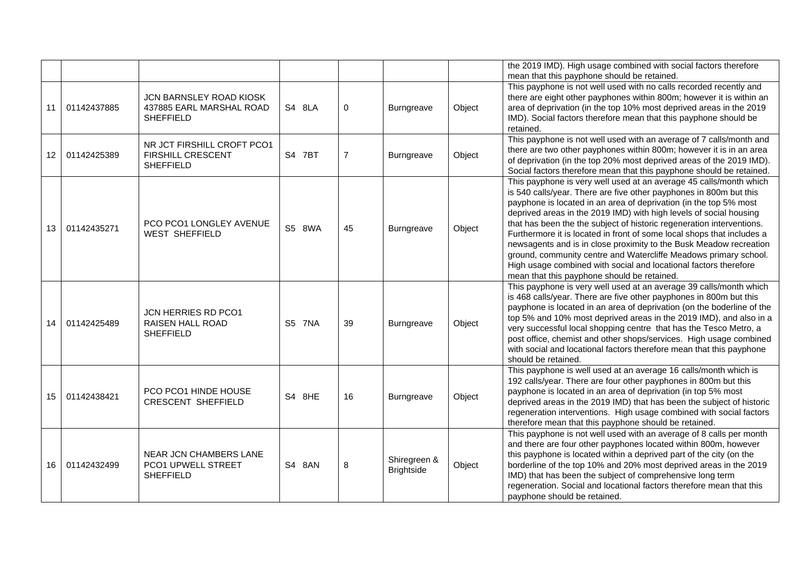|                 |             |                                                                            |               |                |                                   |        | the 2019 IMD). High usage combined with social factors therefore                                                                                                                                                                                                                                                                                                                                                                                                                                                                                                                                                                                                                                    |
|-----------------|-------------|----------------------------------------------------------------------------|---------------|----------------|-----------------------------------|--------|-----------------------------------------------------------------------------------------------------------------------------------------------------------------------------------------------------------------------------------------------------------------------------------------------------------------------------------------------------------------------------------------------------------------------------------------------------------------------------------------------------------------------------------------------------------------------------------------------------------------------------------------------------------------------------------------------------|
|                 |             |                                                                            |               |                |                                   |        | mean that this payphone should be retained.                                                                                                                                                                                                                                                                                                                                                                                                                                                                                                                                                                                                                                                         |
| 11              | 01142437885 | JCN BARNSLEY ROAD KIOSK<br>437885 EARL MARSHAL ROAD<br><b>SHEFFIELD</b>    | S4 8LA        | 0              | <b>Burngreave</b>                 | Object | This payphone is not well used with no calls recorded recently and<br>there are eight other payphones within 800m; however it is within an<br>area of deprivation (in the top 10% most deprived areas in the 2019<br>IMD). Social factors therefore mean that this payphone should be<br>retained.                                                                                                                                                                                                                                                                                                                                                                                                  |
| 12 <sup>1</sup> | 01142425389 | NR JCT FIRSHILL CROFT PCO1<br><b>FIRSHILL CRESCENT</b><br><b>SHEFFIELD</b> | S4 7BT        | $\overline{7}$ | Burngreave                        | Object | This payphone is not well used with an average of 7 calls/month and<br>there are two other payphones within 800m; however it is in an area<br>of deprivation (in the top 20% most deprived areas of the 2019 IMD).<br>Social factors therefore mean that this payphone should be retained.                                                                                                                                                                                                                                                                                                                                                                                                          |
| 13              | 01142435271 | PCO PCO1 LONGLEY AVENUE<br><b>WEST SHEFFIELD</b>                           | S5 8WA        | 45             | <b>Burngreave</b>                 | Object | This payphone is very well used at an average 45 calls/month which<br>is 540 calls/year. There are five other payphones in 800m but this<br>payphone is located in an area of deprivation (in the top 5% most<br>deprived areas in the 2019 IMD) with high levels of social housing<br>that has been the the subject of historic regeneration interventions.<br>Furthermore it is located in front of some local shops that includes a<br>newsagents and is in close proximity to the Busk Meadow recreation<br>ground, community centre and Watercliffe Meadows primary school.<br>High usage combined with social and locational factors therefore<br>mean that this payphone should be retained. |
| 14              | 01142425489 | JCN HERRIES RD PCO1<br><b>RAISEN HALL ROAD</b><br><b>SHEFFIELD</b>         | <b>S5 7NA</b> | 39             | <b>Burngreave</b>                 | Object | This payphone is very well used at an average 39 calls/month which<br>is 468 calls/year. There are five other payphones in 800m but this<br>payphone is located in an area of deprivation (on the boderline of the<br>top 5% and 10% most deprived areas in the 2019 IMD), and also in a<br>very successful local shopping centre that has the Tesco Metro, a<br>post office, chemist and other shops/services. High usage combined<br>with social and locational factors therefore mean that this payphone<br>should be retained.                                                                                                                                                                  |
| 15              | 01142438421 | PCO PCO1 HINDE HOUSE<br><b>CRESCENT SHEFFIELD</b>                          | S4 8HE        | 16             | Burngreave                        | Object | This payphone is well used at an average 16 calls/month which is<br>192 calls/year. There are four other payphones in 800m but this<br>payphone is located in an area of deprivation (in top 5% most<br>deprived areas in the 2019 IMD) that has been the subject of historic<br>regeneration interventions. High usage combined with social factors<br>therefore mean that this payphone should be retained.                                                                                                                                                                                                                                                                                       |
| 16              | 01142432499 | NEAR JCN CHAMBERS LANE<br>PCO1 UPWELL STREET<br><b>SHEFFIELD</b>           | S4 8AN        | 8              | Shiregreen &<br><b>Brightside</b> | Object | This payphone is not well used with an average of 8 calls per month<br>and there are four other payphones located within 800m, however<br>this payphone is located within a deprived part of the city (on the<br>borderline of the top 10% and 20% most deprived areas in the 2019<br>IMD) that has been the subject of comprehensive long term<br>regeneration. Social and locational factors therefore mean that this<br>payphone should be retained.                                                                                                                                                                                                                                             |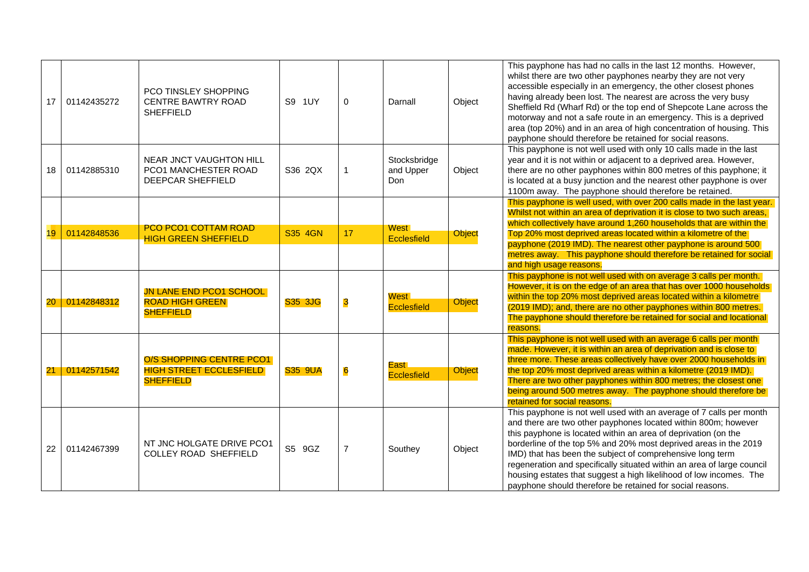| 17     | 01142435272 | <b>PCO TINSLEY SHOPPING</b><br><b>CENTRE BAWTRY ROAD</b><br><b>SHEFFIELD</b>   | S9 1UY         | $\mathbf{0}$            | Darnall                             | Object | This payphone has had no calls in the last 12 months. However,<br>whilst there are two other payphones nearby they are not very<br>accessible especially in an emergency, the other closest phones<br>having already been lost. The nearest are across the very busy<br>Sheffield Rd (Wharf Rd) or the top end of Shepcote Lane across the<br>motorway and not a safe route in an emergency. This is a deprived<br>area (top 20%) and in an area of high concentration of housing. This<br>payphone should therefore be retained for social reasons.  |
|--------|-------------|--------------------------------------------------------------------------------|----------------|-------------------------|-------------------------------------|--------|-------------------------------------------------------------------------------------------------------------------------------------------------------------------------------------------------------------------------------------------------------------------------------------------------------------------------------------------------------------------------------------------------------------------------------------------------------------------------------------------------------------------------------------------------------|
| 18     | 01142885310 | <b>NEAR JNCT VAUGHTON HILL</b><br>PCO1 MANCHESTER ROAD<br>DEEPCAR SHEFFIELD    | S36 2QX        |                         | Stocksbridge<br>and Upper<br>Don    | Object | This payphone is not well used with only 10 calls made in the last<br>year and it is not within or adjacent to a deprived area. However,<br>there are no other payphones within 800 metres of this payphone; it<br>is located at a busy junction and the nearest other payphone is over<br>1100m away. The payphone should therefore be retained.                                                                                                                                                                                                     |
| 19     | 01142848536 | PCO PCO1 COTTAM ROAD<br><b>HIGH GREEN SHEFFIELD</b>                            | S35 4GN        | 17                      | <b>West</b><br>Ecclesfield          | Object | This payphone is well used, with over 200 calls made in the last year.<br>Whilst not within an area of deprivation it is close to two such areas,<br>which collectively have around 1,260 households that are within the<br>Top 20% most deprived areas located within a kilometre of the<br>payphone (2019 IMD). The nearest other payphone is around 500<br>metres away. This payphone should therefore be retained for social<br>and high usage reasons.                                                                                           |
| $20\,$ | 01142848312 | <b>JN LANE END PCO1 SCHOOL</b><br><b>ROAD HIGH GREEN</b><br><b>SHEFFIELD</b>   | <b>S35 3JG</b> | $\overline{\mathbf{3}}$ | West <b>I</b><br><b>Ecclesfield</b> | Object | This payphone is not well used with on average 3 calls per month.<br>However, it is on the edge of an area that has over 1000 households<br>within the top 20% most deprived areas located within a kilometre<br>(2019 IMD); and, there are no other payphones within 800 metres.<br>The payphone should therefore be retained for social and locational<br>reasons.                                                                                                                                                                                  |
| 21     | 01142571542 | O/S SHOPPING CENTRE PCO1<br><b>HIGH STREET ECCLESFIELD</b><br><b>SHEFFIELD</b> | <b>S35 9UA</b> | $\bf{6}$                | East<br><b>Ecclesfield</b>          | Object | This payphone is not well used with an average 6 calls per month<br>made. However, it is within an area of deprivation and is close to<br>three more. These areas collectively have over 2000 households in<br>the top 20% most deprived areas within a kilometre (2019 IMD).<br>There are two other payphones within 800 metres; the closest one<br>being around 500 metres away. The payphone should therefore be<br>retained for social reasons.                                                                                                   |
| 22     | 01142467399 | NT JNC HOLGATE DRIVE PCO1<br><b>COLLEY ROAD SHEFFIELD</b>                      | S5 9GZ         | $\overline{7}$          | Southey                             | Object | This payphone is not well used with an average of 7 calls per month<br>and there are two other payphones located within 800m; however<br>this payphone is located within an area of deprivation (on the<br>borderline of the top 5% and 20% most deprived areas in the 2019<br>IMD) that has been the subject of comprehensive long term<br>regeneration and specifically situated within an area of large council<br>housing estates that suggest a high likelihood of low incomes. The<br>payphone should therefore be retained for social reasons. |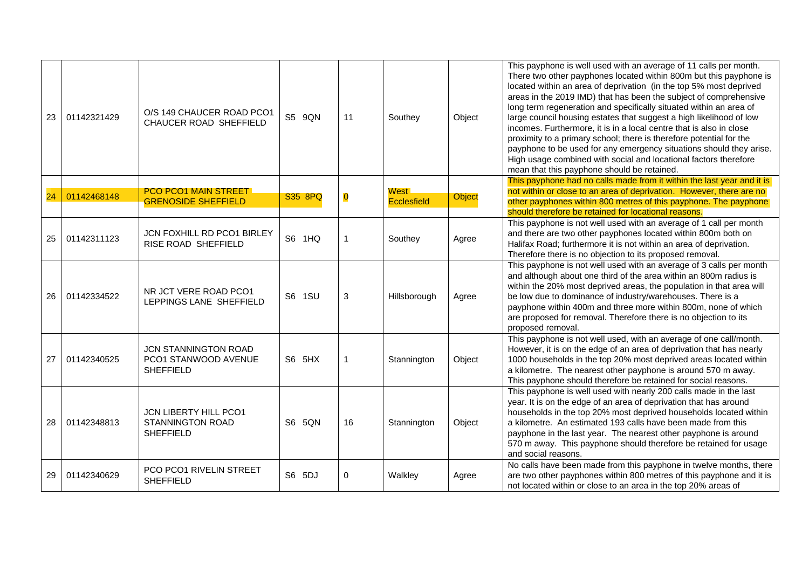| 23 | 01142321429 | O/S 149 CHAUCER ROAD PCO1<br>CHAUCER ROAD SHEFFIELD                  | S5 9QN  | 11                      | Southey                      | Object | This payphone is well used with an average of 11 calls per month.<br>There two other payphones located within 800m but this payphone is<br>located within an area of deprivation (in the top 5% most deprived<br>areas in the 2019 IMD) that has been the subject of comprehensive<br>long term regeneration and specifically situated within an area of<br>large council housing estates that suggest a high likelihood of low<br>incomes. Furthermore, it is in a local centre that is also in close<br>proximity to a primary school; there is therefore potential for the<br>payphone to be used for any emergency situations should they arise.<br>High usage combined with social and locational factors therefore<br>mean that this payphone should be retained. |
|----|-------------|----------------------------------------------------------------------|---------|-------------------------|------------------------------|--------|-------------------------------------------------------------------------------------------------------------------------------------------------------------------------------------------------------------------------------------------------------------------------------------------------------------------------------------------------------------------------------------------------------------------------------------------------------------------------------------------------------------------------------------------------------------------------------------------------------------------------------------------------------------------------------------------------------------------------------------------------------------------------|
| 24 | 01142468148 | <b>PCO PCO1 MAIN STREET.</b><br><b>GRENOSIDE SHEFFIELD</b>           | S35 8PQ | $\overline{\mathbf{0}}$ | West l<br><b>Ecclesfield</b> | Object | This payphone had no calls made from it within the last year and it is<br>not within or close to an area of deprivation. However, there are no<br>other payphones within 800 metres of this payphone. The payphone<br>should therefore be retained for locational reasons.                                                                                                                                                                                                                                                                                                                                                                                                                                                                                              |
| 25 | 01142311123 | JCN FOXHILL RD PCO1 BIRLEY<br>RISE ROAD SHEFFIELD                    | S6 1HQ  |                         | Southey                      | Agree  | This payphone is not well used with an average of 1 call per month<br>and there are two other payphones located within 800m both on<br>Halifax Road; furthermore it is not within an area of deprivation.<br>Therefore there is no objection to its proposed removal.                                                                                                                                                                                                                                                                                                                                                                                                                                                                                                   |
| 26 | 01142334522 | NR JCT VERE ROAD PCO1<br>LEPPINGS LANE SHEFFIELD                     | S6 1SU  | 3                       | Hillsborough                 | Agree  | This payphone is not well used with an average of 3 calls per month<br>and although about one third of the area within an 800m radius is<br>within the 20% most deprived areas, the population in that area will<br>be low due to dominance of industry/warehouses. There is a<br>payphone within 400m and three more within 800m, none of which<br>are proposed for removal. Therefore there is no objection to its<br>proposed removal.                                                                                                                                                                                                                                                                                                                               |
| 27 | 01142340525 | JCN STANNINGTON ROAD<br>PCO1 STANWOOD AVENUE<br><b>SHEFFIELD</b>     | S6 5HX  |                         | Stannington                  | Object | This payphone is not well used, with an average of one call/month.<br>However, it is on the edge of an area of deprivation that has nearly<br>1000 households in the top 20% most deprived areas located within<br>a kilometre. The nearest other payphone is around 570 m away.<br>This payphone should therefore be retained for social reasons.                                                                                                                                                                                                                                                                                                                                                                                                                      |
| 28 | 01142348813 | <b>JCN LIBERTY HILL PCO1</b><br>STANNINGTON ROAD<br><b>SHEFFIELD</b> | S6 5QN  | 16                      | Stannington                  | Object | This payphone is well used with nearly 200 calls made in the last<br>year. It is on the edge of an area of deprivation that has around<br>households in the top 20% most deprived households located within<br>a kilometre. An estimated 193 calls have been made from this<br>payphone in the last year. The nearest other payphone is around<br>570 m away. This payphone should therefore be retained for usage<br>and social reasons.                                                                                                                                                                                                                                                                                                                               |
| 29 | 01142340629 | PCO PCO1 RIVELIN STREET<br><b>SHEFFIELD</b>                          | S6 5DJ  | 0                       | Walkley                      | Agree  | No calls have been made from this payphone in twelve months, there<br>are two other payphones within 800 metres of this payphone and it is<br>not located within or close to an area in the top 20% areas of                                                                                                                                                                                                                                                                                                                                                                                                                                                                                                                                                            |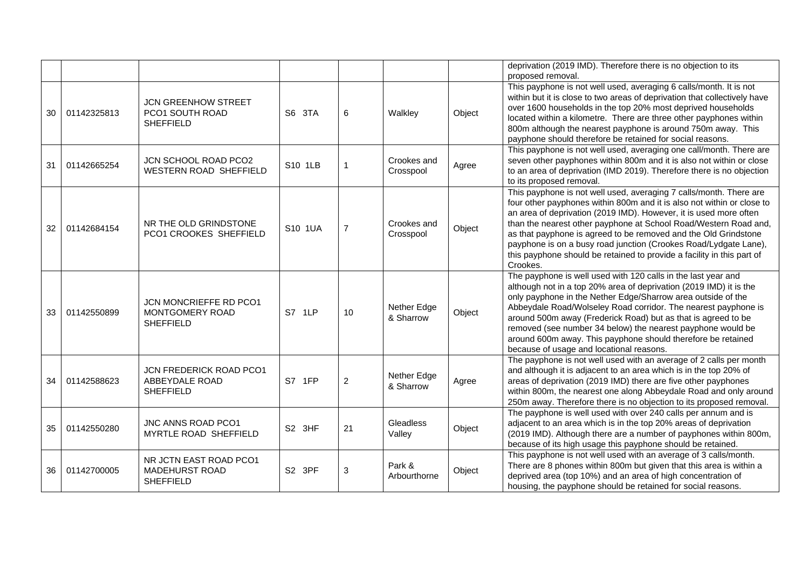|                 |             |                                                                     |                    |                |                          |        | deprivation (2019 IMD). Therefore there is no objection to its<br>proposed removal.                                                                                                                                                                                                                                                                                                                                                                                                                                |
|-----------------|-------------|---------------------------------------------------------------------|--------------------|----------------|--------------------------|--------|--------------------------------------------------------------------------------------------------------------------------------------------------------------------------------------------------------------------------------------------------------------------------------------------------------------------------------------------------------------------------------------------------------------------------------------------------------------------------------------------------------------------|
| 30              | 01142325813 | <b>JCN GREENHOW STREET</b><br>PCO1 SOUTH ROAD<br><b>SHEFFIELD</b>   | S6 3TA             | 6              | Walkley                  | Object | This payphone is not well used, averaging 6 calls/month. It is not<br>within but it is close to two areas of deprivation that collectively have<br>over 1600 households in the top 20% most deprived households<br>located within a kilometre. There are three other payphones within<br>800m although the nearest payphone is around 750m away. This<br>payphone should therefore be retained for social reasons.                                                                                                 |
| 31              | 01142665254 | <b>JCN SCHOOL ROAD PCO2</b><br>WESTERN ROAD SHEFFIELD               | S10 1LB            | $\mathbf 1$    | Crookes and<br>Crosspool | Agree  | This payphone is not well used, averaging one call/month. There are<br>seven other payphones within 800m and it is also not within or close<br>to an area of deprivation (IMD 2019). Therefore there is no objection<br>to its proposed removal.                                                                                                                                                                                                                                                                   |
| 32 <sup>2</sup> | 01142684154 | NR THE OLD GRINDSTONE<br>PCO1 CROOKES SHEFFIELD                     | S10 1UA            | $\overline{7}$ | Crookes and<br>Crosspool | Object | This payphone is not well used, averaging 7 calls/month. There are<br>four other payphones within 800m and it is also not within or close to<br>an area of deprivation (2019 IMD). However, it is used more often<br>than the nearest other payphone at School Road/Western Road and,<br>as that payphone is agreed to be removed and the Old Grindstone<br>payphone is on a busy road junction (Crookes Road/Lydgate Lane),<br>this payphone should be retained to provide a facility in this part of<br>Crookes. |
| 33              | 01142550899 | JCN MONCRIEFFE RD PCO1<br>MONTGOMERY ROAD<br><b>SHEFFIELD</b>       | S7 1LP             | 10             | Nether Edge<br>& Sharrow | Object | The payphone is well used with 120 calls in the last year and<br>although not in a top 20% area of deprivation (2019 IMD) it is the<br>only payphone in the Nether Edge/Sharrow area outside of the<br>Abbeydale Road/Wolseley Road corridor. The nearest payphone is<br>around 500m away (Frederick Road) but as that is agreed to be<br>removed (see number 34 below) the nearest payphone would be<br>around 600m away. This payphone should therefore be retained<br>because of usage and locational reasons.  |
| 34              | 01142588623 | JCN FREDERICK ROAD PCO1<br>ABBEYDALE ROAD<br><b>SHEFFIELD</b>       | S7 1FP             | $\overline{2}$ | Nether Edge<br>& Sharrow | Agree  | The payphone is not well used with an average of 2 calls per month<br>and although it is adjacent to an area which is in the top 20% of<br>areas of deprivation (2019 IMD) there are five other payphones<br>within 800m, the nearest one along Abbeydale Road and only around<br>250m away. Therefore there is no objection to its proposed removal.                                                                                                                                                              |
| 35 <sub>1</sub> | 01142550280 | JNC ANNS ROAD PCO1<br>MYRTLE ROAD SHEFFIELD                         | S <sub>2</sub> 3HF | 21             | Gleadless<br>Valley      | Object | The payphone is well used with over 240 calls per annum and is<br>adjacent to an area which is in the top 20% areas of deprivation<br>(2019 IMD). Although there are a number of payphones within 800m,<br>because of its high usage this payphone should be retained.                                                                                                                                                                                                                                             |
| 36              | 01142700005 | NR JCTN EAST ROAD PCO1<br><b>MADEHURST ROAD</b><br><b>SHEFFIELD</b> | S2 3PF             | $\mathbf{3}$   | Park &<br>Arbourthorne   | Object | This payphone is not well used with an average of 3 calls/month.<br>There are 8 phones within 800m but given that this area is within a<br>deprived area (top 10%) and an area of high concentration of<br>housing, the payphone should be retained for social reasons.                                                                                                                                                                                                                                            |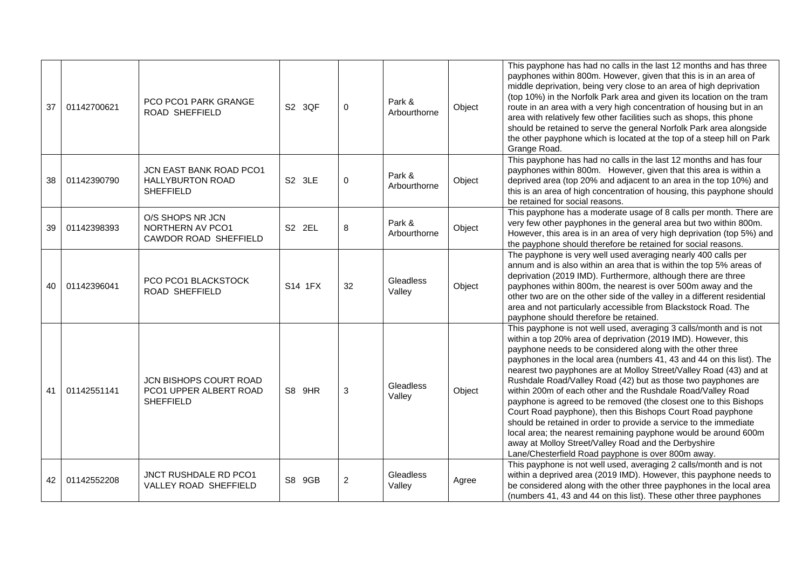| 37 | 01142700621 | PCO PCO1 PARK GRANGE<br>ROAD SHEFFIELD                                 | S2 3QF  | $\Omega$       | Park &<br>Arbourthorne | Object | This payphone has had no calls in the last 12 months and has three<br>payphones within 800m. However, given that this is in an area of<br>middle deprivation, being very close to an area of high deprivation<br>(top 10%) in the Norfolk Park area and given its location on the tram<br>route in an area with a very high concentration of housing but in an<br>area with relatively few other facilities such as shops, this phone<br>should be retained to serve the general Norfolk Park area alongside<br>the other payphone which is located at the top of a steep hill on Park<br>Grange Road.                                                                                                                                                                                                                                                                      |
|----|-------------|------------------------------------------------------------------------|---------|----------------|------------------------|--------|-----------------------------------------------------------------------------------------------------------------------------------------------------------------------------------------------------------------------------------------------------------------------------------------------------------------------------------------------------------------------------------------------------------------------------------------------------------------------------------------------------------------------------------------------------------------------------------------------------------------------------------------------------------------------------------------------------------------------------------------------------------------------------------------------------------------------------------------------------------------------------|
| 38 | 01142390790 | JCN EAST BANK ROAD PCO1<br><b>HALLYBURTON ROAD</b><br><b>SHEFFIELD</b> | S2 3LE  | $\mathbf 0$    | Park &<br>Arbourthorne | Object | This payphone has had no calls in the last 12 months and has four<br>payphones within 800m. However, given that this area is within a<br>deprived area (top 20% and adjacent to an area in the top 10%) and<br>this is an area of high concentration of housing, this payphone should<br>be retained for social reasons.                                                                                                                                                                                                                                                                                                                                                                                                                                                                                                                                                    |
| 39 | 01142398393 | O/S SHOPS NR JCN<br>NORTHERN AV PCO1<br>CAWDOR ROAD SHEFFIELD          | S2 2EL  | 8              | Park &<br>Arbourthorne | Object | This payphone has a moderate usage of 8 calls per month. There are<br>very few other payphones in the general area but two within 800m.<br>However, this area is in an area of very high deprivation (top 5%) and<br>the payphone should therefore be retained for social reasons.                                                                                                                                                                                                                                                                                                                                                                                                                                                                                                                                                                                          |
| 40 | 01142396041 | PCO PCO1 BLACKSTOCK<br>ROAD SHEFFIELD                                  | S14 1FX | 32             | Gleadless<br>Valley    | Object | The payphone is very well used averaging nearly 400 calls per<br>annum and is also within an area that is within the top 5% areas of<br>deprivation (2019 IMD). Furthermore, although there are three<br>payphones within 800m, the nearest is over 500m away and the<br>other two are on the other side of the valley in a different residential<br>area and not particularly accessible from Blackstock Road. The<br>payphone should therefore be retained.                                                                                                                                                                                                                                                                                                                                                                                                               |
| 41 | 01142551141 | JCN BISHOPS COURT ROAD<br>PCO1 UPPER ALBERT ROAD<br><b>SHEFFIELD</b>   | S8 9HR  | 3              | Gleadless<br>Valley    | Object | This payphone is not well used, averaging 3 calls/month and is not<br>within a top 20% area of deprivation (2019 IMD). However, this<br>payphone needs to be considered along with the other three<br>payphones in the local area (numbers 41, 43 and 44 on this list). The<br>nearest two payphones are at Molloy Street/Valley Road (43) and at<br>Rushdale Road/Valley Road (42) but as those two payphones are<br>within 200m of each other and the Rushdale Road/Valley Road<br>payphone is agreed to be removed (the closest one to this Bishops<br>Court Road payphone), then this Bishops Court Road payphone<br>should be retained in order to provide a service to the immediate<br>local area; the nearest remaining payphone would be around 600m<br>away at Molloy Street/Valley Road and the Derbyshire<br>Lane/Chesterfield Road payphone is over 800m away. |
| 42 | 01142552208 | JNCT RUSHDALE RD PCO1<br><b>VALLEY ROAD SHEFFIELD</b>                  | S8 9GB  | $\overline{2}$ | Gleadless<br>Valley    | Agree  | This payphone is not well used, averaging 2 calls/month and is not<br>within a deprived area (2019 IMD). However, this payphone needs to<br>be considered along with the other three payphones in the local area<br>(numbers 41, 43 and 44 on this list). These other three payphones                                                                                                                                                                                                                                                                                                                                                                                                                                                                                                                                                                                       |